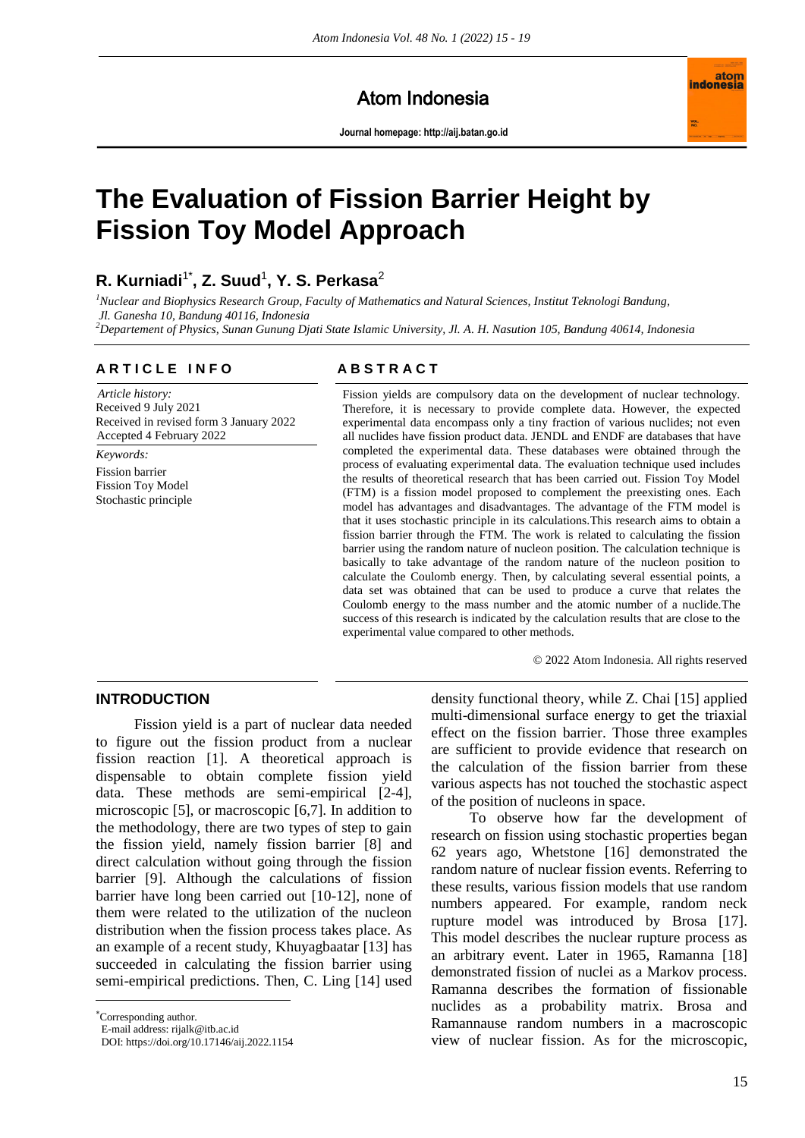# Atom Indonesia

**Journal homepage[: http://aij.batan.go.id](http://aij.batan.go.id/)**



# **The Evaluation of Fission Barrier Height by Fission Toy Model Approach**

# **R. Kurniadi**1\* **, Z. Suud**<sup>1</sup> **, Y. S. Perkasa**<sup>2</sup>

*<sup>1</sup>Nuclear and Biophysics Research Group, Faculty of Mathematics and Natural Sciences, Institut Teknologi Bandung, Jl. Ganesha 10, Bandung 40116, Indonesia*

*<sup>2</sup>Departement of Physics, Sunan Gunung Djati State Islamic University, Jl. A. H. Nasution 105, Bandung 40614, Indonesia*

# **A R T I C L E I N F O A B S T R A C T**

*Article history:* Received 9 July 2021 Received in revised form 3 January 2022 Accepted 4 February 2022

*Keywords:* Fission barrier Fission Toy Model Stochastic principle

Fission yields are compulsory data on the development of nuclear technology. Therefore, it is necessary to provide complete data. However, the expected experimental data encompass only a tiny fraction of various nuclides; not even all nuclides have fission product data. JENDL and ENDF are databases that have completed the experimental data. These databases were obtained through the process of evaluating experimental data. The evaluation technique used includes the results of theoretical research that has been carried out. Fission Toy Model (FTM) is a fission model proposed to complement the preexisting ones. Each model has advantages and disadvantages. The advantage of the FTM model is that it uses stochastic principle in its calculations.This research aims to obtain a fission barrier through the FTM. The work is related to calculating the fission barrier using the random nature of nucleon position. The calculation technique is basically to take advantage of the random nature of the nucleon position to calculate the Coulomb energy. Then, by calculating several essential points, a data set was obtained that can be used to produce a curve that relates the Coulomb energy to the mass number and the atomic number of a nuclide.The success of this research is indicated by the calculation results that are close to the experimental value compared to other methods.

© 2022 Atom Indonesia. All rights reserved

## **INTRODUCTION**

Fission yield is a part of nuclear data needed to figure out the fission product from a nuclear fission reaction [1]. A theoretical approach is dispensable to obtain complete fission yield data. These methods are semi-empirical [2-4], microscopic [5], or macroscopic [6,7]. In addition to the methodology, there are two types of step to gain the fission yield, namely fission barrier [8] and direct calculation without going through the fission barrier [9]. Although the calculations of fission barrier have long been carried out [10-12], none of them were related to the utilization of the nucleon distribution when the fission process takes place. As an example of a recent study, Khuyagbaatar [13] has succeeded in calculating the fission barrier using semi-empirical predictions. Then, C. Ling [14] used

 $\overline{a}$ 

density functional theory, while Z. Chai [15] applied multi-dimensional surface energy to get the triaxial effect on the fission barrier. Those three examples are sufficient to provide evidence that research on the calculation of the fission barrier from these various aspects has not touched the stochastic aspect of the position of nucleons in space.

To observe how far the development of research on fission using stochastic properties began 62 years ago, Whetstone [16] demonstrated the random nature of nuclear fission events. Referring to these results, various fission models that use random numbers appeared. For example, random neck rupture model was introduced by Brosa [17]. This model describes the nuclear rupture process as an arbitrary event. Later in 1965, Ramanna [18] demonstrated fission of nuclei as a Markov process. Ramanna describes the formation of fissionable nuclides as a probability matrix. Brosa and Ramannause random numbers in a macroscopic view of nuclear fission. As for the microscopic,

Corresponding author.

E-mail address: rijalk@itb.ac.id

DOI: https://doi.org/10.17146/aij.2022.1154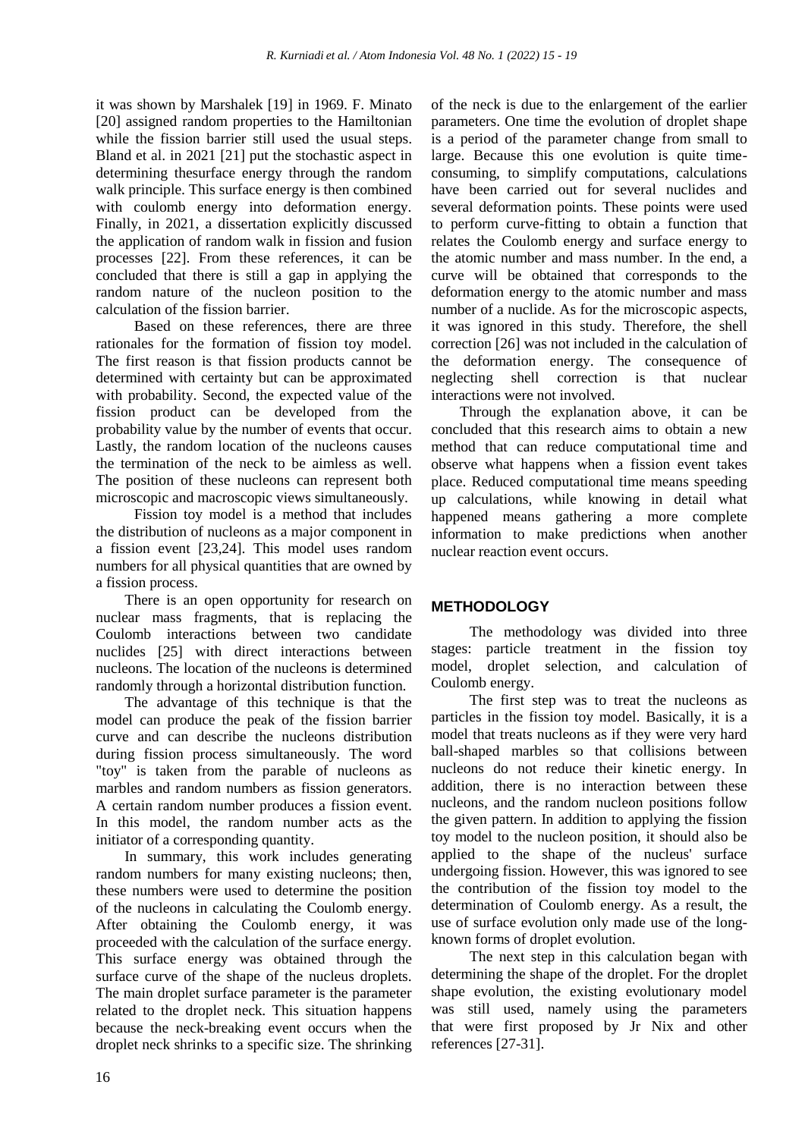it was shown by Marshalek [19] in 1969. F. Minato [20] assigned random properties to the Hamiltonian while the fission barrier still used the usual steps. Bland et al. in 2021 [21] put the stochastic aspect in determining thesurface energy through the random walk principle. This surface energy is then combined with coulomb energy into deformation energy. Finally, in 2021, a dissertation explicitly discussed the application of random walk in fission and fusion processes [22]. From these references, it can be concluded that there is still a gap in applying the random nature of the nucleon position to the calculation of the fission barrier.

Based on these references, there are three rationales for the formation of fission toy model. The first reason is that fission products cannot be determined with certainty but can be approximated with probability. Second, the expected value of the fission product can be developed from the probability value by the number of events that occur. Lastly, the random location of the nucleons causes the termination of the neck to be aimless as well. The position of these nucleons can represent both microscopic and macroscopic views simultaneously.

Fission toy model is a method that includes the distribution of nucleons as a major component in a fission event [23,24]. This model uses random numbers for all physical quantities that are owned by a fission process.

There is an open opportunity for research on nuclear mass fragments, that is replacing the Coulomb interactions between two candidate nuclides [25] with direct interactions between nucleons. The location of the nucleons is determined randomly through a horizontal distribution function.

The advantage of this technique is that the model can produce the peak of the fission barrier curve and can describe the nucleons distribution during fission process simultaneously. The word "toy" is taken from the parable of nucleons as marbles and random numbers as fission generators. A certain random number produces a fission event. In this model, the random number acts as the initiator of a corresponding quantity.

In summary, this work includes generating random numbers for many existing nucleons; then, these numbers were used to determine the position of the nucleons in calculating the Coulomb energy. After obtaining the Coulomb energy, it was proceeded with the calculation of the surface energy. This surface energy was obtained through the surface curve of the shape of the nucleus droplets. The main droplet surface parameter is the parameter related to the droplet neck. This situation happens because the neck-breaking event occurs when the droplet neck shrinks to a specific size. The shrinking of the neck is due to the enlargement of the earlier parameters. One time the evolution of droplet shape is a period of the parameter change from small to large. Because this one evolution is quite timeconsuming, to simplify computations, calculations have been carried out for several nuclides and several deformation points. These points were used to perform curve-fitting to obtain a function that relates the Coulomb energy and surface energy to the atomic number and mass number. In the end, a curve will be obtained that corresponds to the deformation energy to the atomic number and mass number of a nuclide. As for the microscopic aspects, it was ignored in this study. Therefore, the shell correction [26] was not included in the calculation of the deformation energy. The consequence of neglecting shell correction is that nuclear interactions were not involved.

Through the explanation above, it can be concluded that this research aims to obtain a new method that can reduce computational time and observe what happens when a fission event takes place. Reduced computational time means speeding up calculations, while knowing in detail what happened means gathering a more complete information to make predictions when another nuclear reaction event occurs.

# **METHODOLOGY**

The methodology was divided into three stages: particle treatment in the fission toy model, droplet selection, and calculation of Coulomb energy.

The first step was to treat the nucleons as particles in the fission toy model. Basically, it is a model that treats nucleons as if they were very hard ball-shaped marbles so that collisions between nucleons do not reduce their kinetic energy. In addition, there is no interaction between these nucleons, and the random nucleon positions follow the given pattern. In addition to applying the fission toy model to the nucleon position, it should also be applied to the shape of the nucleus' surface undergoing fission. However, this was ignored to see the contribution of the fission toy model to the determination of Coulomb energy. As a result, the use of surface evolution only made use of the longknown forms of droplet evolution.

The next step in this calculation began with determining the shape of the droplet. For the droplet shape evolution, the existing evolutionary model was still used, namely using the parameters that were first proposed by Jr Nix and other references [27-31].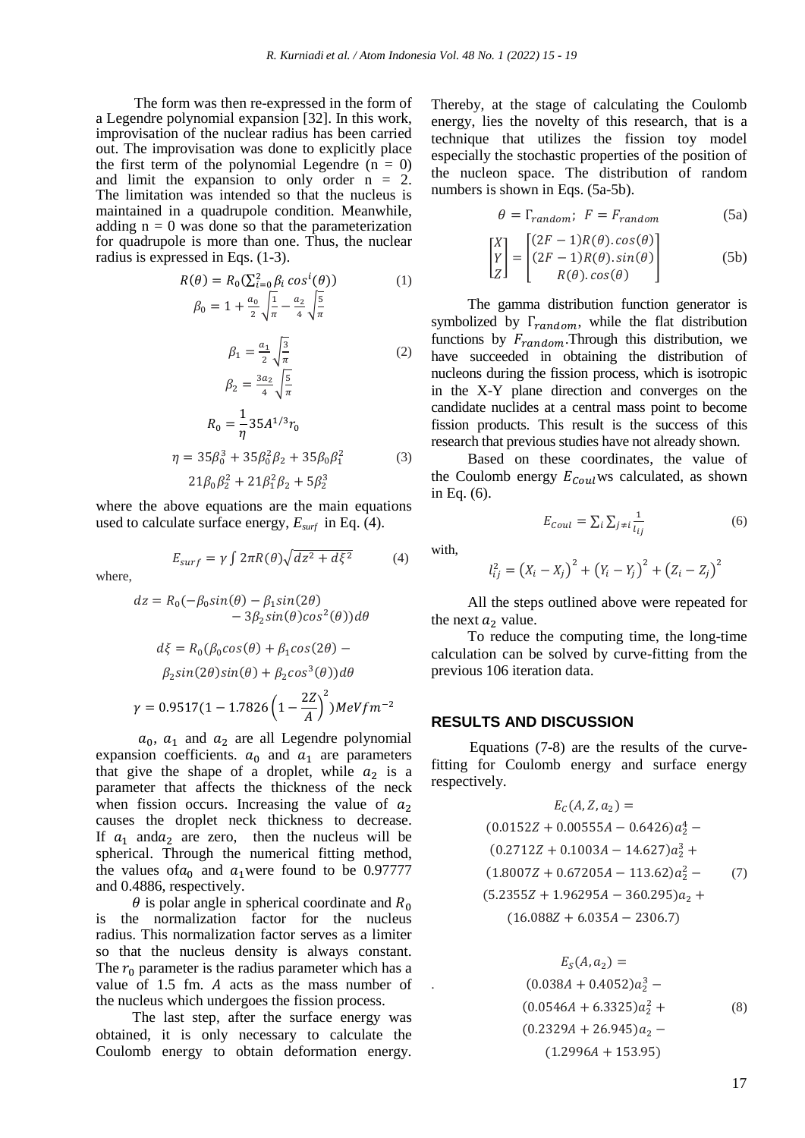The form was then re-expressed in the form of a Legendre polynomial expansion [32]. In this work, improvisation of the nuclear radius has been carried out. The improvisation was done to explicitly place the first term of the polynomial Legendre  $(n = 0)$ and limit the expansion to only order  $n = 2$ . The limitation was intended so that the nucleus is maintained in a quadrupole condition. Meanwhile, adding  $n = 0$  was done so that the parameterization for quadrupole is more than one. Thus, the nuclear radius is expressed in Eqs. (1-3).

$$
R(\theta) = R_0(\sum_{i=0}^{2} \beta_i \cos^i(\theta))
$$
\n
$$
\beta_0 = 1 + \frac{a_0}{2} \sqrt{\frac{1}{\pi}} - \frac{a_2}{4} \sqrt{\frac{5}{\pi}}
$$
\n
$$
-
$$
\n(1)

$$
\beta_1 = \frac{a_1}{2} \sqrt{\frac{3}{\pi}}
$$
\n
$$
\beta_2 = \frac{3a_2}{4} \sqrt{\frac{5}{\pi}}
$$
\n
$$
R_0 = \frac{1}{\eta} 35A^{1/3} r_0
$$
\n
$$
\eta = 35\beta_0^3 + 35\beta_0^2 \beta_2 + 35\beta_0 \beta_1^2
$$
\n
$$
21\beta_0 \beta_2^2 + 21\beta_1^2 \beta_2 + 5\beta_2^3
$$
\n(3)

where the above equations are the main equations used to calculate surface energy, *Esurf* in Eq. (4).

$$
E_{surf} = \gamma \int 2\pi R(\theta) \sqrt{dz^2 + d\xi^2} \tag{4}
$$

where,

$$
dz = R_0(-\beta_0 \sin(\theta) - \beta_1 \sin(2\theta) - 3\beta_2 \sin(\theta) \cos^2(\theta))d\theta
$$

$$
d\xi = R_0(\beta_0 \cos(\theta) + \beta_1 \cos(2\theta) - \beta_2 \sin(2\theta) \sin(\theta) + \beta_2 \cos^3(\theta))d\theta
$$

$$
\gamma = 0.9517(1 - 1.7826\left(1 - \frac{2Z}{A}\right)^2)MeVfm^{-2}
$$

 $a_0$ ,  $a_1$  and  $a_2$  are all Legendre polynomial expansion coefficients.  $a_0$  and  $a_1$  are parameters that give the shape of a droplet, while  $a_2$  is a parameter that affects the thickness of the neck when fission occurs. Increasing the value of  $a_2$ causes the droplet neck thickness to decrease. If  $a_1$  and  $a_2$  are zero, then the nucleus will be spherical. Through the numerical fitting method, the values of  $a_0$  and  $a_1$  were found to be 0.97777 and 0.4886, respectively.

 $\theta$  is polar angle in spherical coordinate and  $R_0$ is the normalization factor for the nucleus radius. This normalization factor serves as a limiter so that the nucleus density is always constant. The  $r_0$  parameter is the radius parameter which has a value of  $1.5$  fm. A acts as the mass number of the nucleus which undergoes the fission process.

The last step, after the surface energy was obtained, it is only necessary to calculate the Coulomb energy to obtain deformation energy.

Thereby, at the stage of calculating the Coulomb energy, lies the novelty of this research, that is a technique that utilizes the fission toy model especially the stochastic properties of the position of the nucleon space. The distribution of random numbers is shown in Eqs. (5a-5b).

$$
\theta = \Gamma_{random}; \ F = F_{random} \tag{5a}
$$

$$
\begin{bmatrix} X \\ Y \\ Z \end{bmatrix} = \begin{bmatrix} (2F - 1)R(\theta) \cdot \cos(\theta) \\ (2F - 1)R(\theta) \cdot \sin(\theta) \\ R(\theta) \cdot \cos(\theta) \end{bmatrix}
$$
 (5b)

The gamma distribution function generator is symbolized by  $\Gamma_{random}$ , while the flat distribution functions by  $F_{random}$ . Through this distribution, we have succeeded in obtaining the distribution of nucleons during the fission process, which is isotropic in the X-Y plane direction and converges on the candidate nuclides at a central mass point to become fission products. This result is the success of this research that previous studies have not already shown.

Based on these coordinates, the value of the Coulomb energy  $E_{\text{Coul}}$  ws calculated, as shown in Eq. (6).

$$
E_{Coul} = \sum_{i} \sum_{j \neq i} \frac{1}{l_{ij}} \tag{6}
$$

with,

$$
l_{ij}^{2} = (X_{i} - X_{j})^{2} + (Y_{i} - Y_{j})^{2} + (Z_{i} - Z_{j})^{2}
$$

All the steps outlined above were repeated for the next  $a_2$  value.

To reduce the computing time, the long-time calculation can be solved by curve-fitting from the previous 106 iteration data.

#### **RESULTS AND DISCUSSION**

Equations (7-8) are the results of the curvefitting for Coulomb energy and surface energy respectively.

$$
E_C(A, Z, a_2) =
$$
  
(0.0152Z + 0.00555A - 0.6426) $a_2^4$  –  
(0.2712Z + 0.1003A - 14.627) $a_2^3$  +  
(1.8007Z + 0.67205A - 113.62) $a_2^2$  – (7)  
(5.2355Z + 1.96295A - 360.295) $a_2$  +  
(16.088Z + 6.035A - 2306.7)

$$
E_S(A, a_2) =
$$
  
\n
$$
(0.038A + 0.4052)a_2^3 -
$$
  
\n
$$
(0.0546A + 6.3325)a_2^2 +
$$
  
\n
$$
(0.2329A + 26.945)a_2 -
$$
  
\n
$$
(1.2996A + 153.95)
$$
 (8)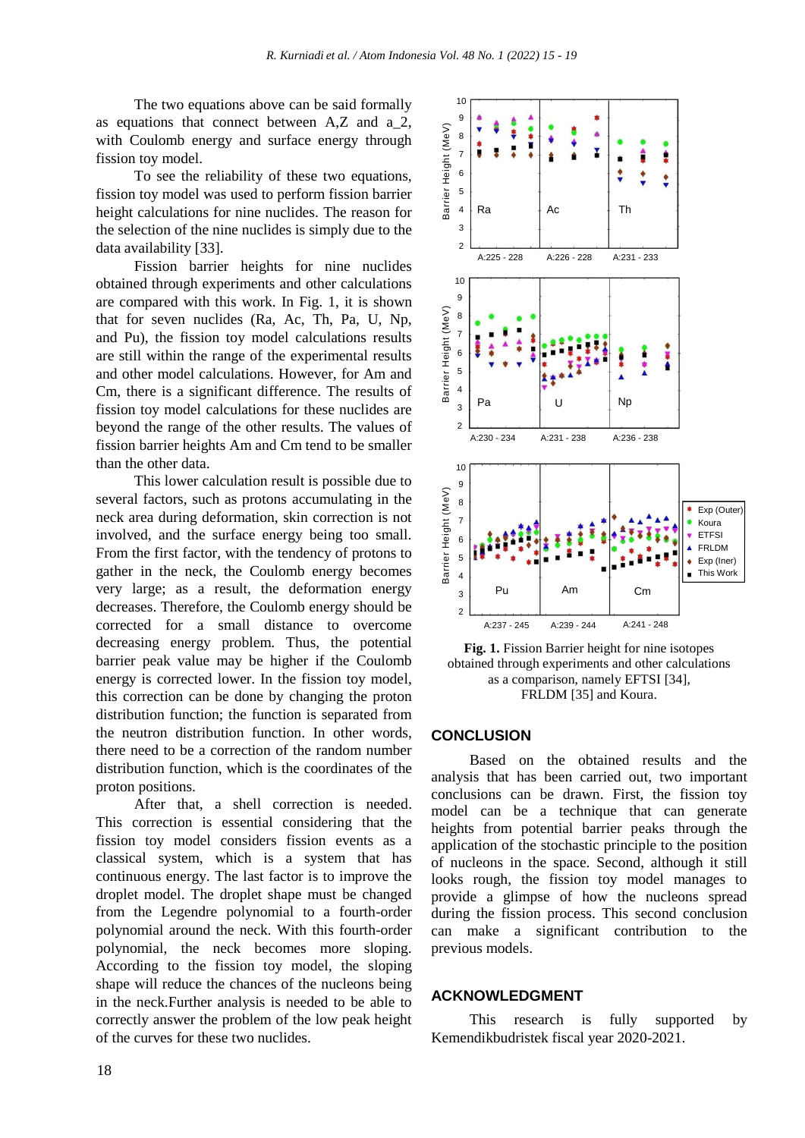The two equations above can be said formally as equations that connect between A,Z and a\_2, with Coulomb energy and surface energy through fission toy model.

To see the reliability of these two equations, fission toy model was used to perform fission barrier height calculations for nine nuclides. The reason for the selection of the nine nuclides is simply due to the data availability [33].

Fission barrier heights for nine nuclides obtained through experiments and other calculations are compared with this work. In Fig. 1, it is shown that for seven nuclides (Ra, Ac, Th, Pa, U, Np, and Pu), the fission toy model calculations results are still within the range of the experimental results and other model calculations. However, for Am and Cm, there is a significant difference. The results of fission toy model calculations for these nuclides are beyond the range of the other results. The values of fission barrier heights Am and Cm tend to be smaller than the other data.

This lower calculation result is possible due to several factors, such as protons accumulating in the neck area during deformation, skin correction is not involved, and the surface energy being too small. From the first factor, with the tendency of protons to gather in the neck, the Coulomb energy becomes very large; as a result, the deformation energy decreases. Therefore, the Coulomb energy should be corrected for a small distance to overcome decreasing energy problem. Thus, the potential barrier peak value may be higher if the Coulomb energy is corrected lower. In the fission toy model, this correction can be done by changing the proton distribution function; the function is separated from the neutron distribution function. In other words, there need to be a correction of the random number distribution function, which is the coordinates of the proton positions.

After that, a shell correction is needed. This correction is essential considering that the fission toy model considers fission events as a classical system, which is a system that has continuous energy. The last factor is to improve the droplet model. The droplet shape must be changed from the Legendre polynomial to a fourth-order polynomial around the neck. With this fourth-order polynomial, the neck becomes more sloping. According to the fission toy model, the sloping shape will reduce the chances of the nucleons being in the neck.Further analysis is needed to be able to correctly answer the problem of the low peak height of the curves for these two nuclides.



**Fig. 1.** Fission Barrier height for nine isotopes obtained through experiments and other calculations as a comparison, namely EFTSI [34], FRLDM [35] and Koura.

## **CONCLUSION**

Based on the obtained results and the analysis that has been carried out, two important conclusions can be drawn. First, the fission toy model can be a technique that can generate heights from potential barrier peaks through the application of the stochastic principle to the position of nucleons in the space. Second, although it still looks rough, the fission toy model manages to provide a glimpse of how the nucleons spread during the fission process. This second conclusion can make a significant contribution to the previous models.

# **ACKNOWLEDGMENT**

This research is fully supported by Kemendikbudristek fiscal year 2020-2021.